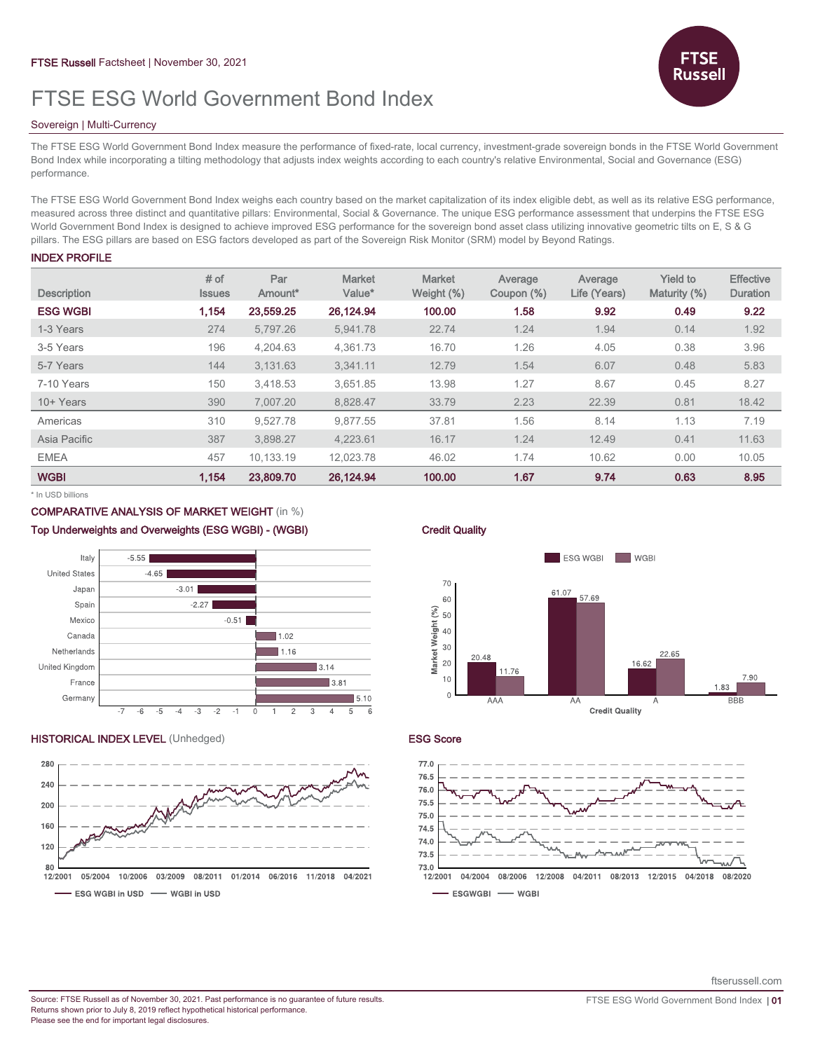# FTSE ESG World Government Bond Index

# Sovereign | Multi-Currency

The FTSE ESG World Government Bond Index measure the performance of fixed-rate, local currency, investment-grade sovereign bonds in the FTSE World Government Bond Index while incorporating a tilting methodology that adjusts index weights according to each country's relative Environmental, Social and Governance (ESG) performance.

The FTSE ESG World Government Bond Index weighs each country based on the market capitalization of its index eligible debt, as well as its relative ESG performance, measured across three distinct and quantitative pillars: Environmental, Social & Governance. The unique ESG performance assessment that underpins the FTSE ESG World Government Bond Index is designed to achieve improved ESG performance for the sovereign bond asset class utilizing innovative geometric tilts on E, S & G pillars. The ESG pillars are based on ESG factors developed as part of the Sovereign Risk Monitor (SRM) model by Beyond Ratings.

# INDEX PROFILE

| <b>Description</b> | # of<br><b>Issues</b> | Par<br>Amount* | <b>Market</b><br>Value* | <b>Market</b><br>Weight (%) | Average<br>Coupon (%) | Average<br>Life (Years) | <b>Yield to</b><br>Maturity (%) | <b>Effective</b><br><b>Duration</b> |
|--------------------|-----------------------|----------------|-------------------------|-----------------------------|-----------------------|-------------------------|---------------------------------|-------------------------------------|
| <b>ESG WGBI</b>    | 1.154                 | 23,559.25      | 26,124.94               | 100.00                      | 1.58                  | 9.92                    | 0.49                            | 9.22                                |
| 1-3 Years          | 274                   | 5,797.26       | 5,941.78                | 22.74                       | 1.24                  | 1.94                    | 0.14                            | 1.92                                |
| 3-5 Years          | 196                   | 4,204.63       | 4.361.73                | 16.70                       | 1.26                  | 4.05                    | 0.38                            | 3.96                                |
| 5-7 Years          | 144                   | 3.131.63       | 3.341.11                | 12.79                       | 1.54                  | 6.07                    | 0.48                            | 5.83                                |
| 7-10 Years         | 150                   | 3.418.53       | 3.651.85                | 13.98                       | 1.27                  | 8.67                    | 0.45                            | 8.27                                |
| 10+ Years          | 390                   | 7.007.20       | 8,828.47                | 33.79                       | 2.23                  | 22.39                   | 0.81                            | 18.42                               |
| Americas           | 310                   | 9.527.78       | 9.877.55                | 37.81                       | 1.56                  | 8.14                    | 1.13                            | 7.19                                |
| Asia Pacific       | 387                   | 3,898.27       | 4.223.61                | 16.17                       | 1.24                  | 12.49                   | 0.41                            | 11.63                               |
| <b>EMEA</b>        | 457                   | 10.133.19      | 12.023.78               | 46.02                       | 1.74                  | 10.62                   | 0.00                            | 10.05                               |
| <b>WGBI</b>        | 1.154                 | 23,809.70      | 26,124.94               | 100.00                      | 1.67                  | 9.74                    | 0.63                            | 8.95                                |

\* In USD billions

# COMPARATIVE ANALYSIS OF MARKET WEIGHT (in %)

### Top Underweights and Overweights (ESG WGBI) - (WGBI) Credit Quality



# **HISTORICAL INDEX LEVEL** (Unhedged) **ESG Score**







ftserussell.com

Russel